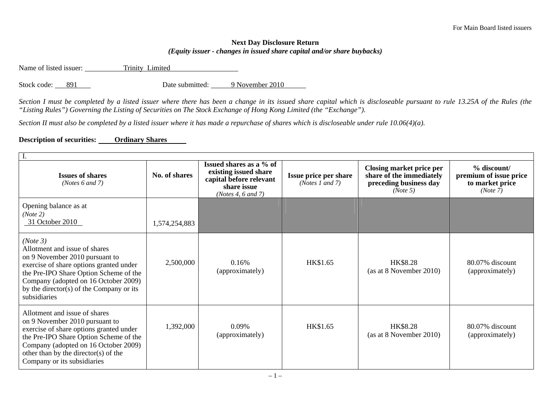## **Next Day Disclosure Return**  *(Equity issuer - changes in issued share capital and/or share buybacks)*

Name of listed issuer: Trinity Limited

Stock code: 891 Date submitted: 9 November 2010

*Section I must be completed by a listed issuer where there has been a change in its issued share capital which is discloseable pursuant to rule 13.25A of the Rules (the "Listing Rules") Governing the Listing of Securities on The Stock Exchange of Hong Kong Limited (the "Exchange").* 

*Section II must also be completed by a listed issuer where it has made a repurchase of shares which is discloseable under rule 10.06(4)(a).* 

## **Description of securities: Ordinary Shares**

| <b>Issues of shares</b><br>(Notes $6$ and $7$ )                                                                                                                                                                                                                      | No. of shares | Issued shares as a % of<br>existing issued share<br>capital before relevant<br>share issue<br>(Notes 4, 6 and 7) | Issue price per share<br>( <i>Notes 1 and 7</i> ) | Closing market price per<br>share of the immediately<br>preceding business day<br>(Note 5) | % discount/<br>premium of issue price<br>to market price<br>(Note 7) |  |
|----------------------------------------------------------------------------------------------------------------------------------------------------------------------------------------------------------------------------------------------------------------------|---------------|------------------------------------------------------------------------------------------------------------------|---------------------------------------------------|--------------------------------------------------------------------------------------------|----------------------------------------------------------------------|--|
| Opening balance as at<br>(Note 2)<br>31 October 2010                                                                                                                                                                                                                 | 1,574,254,883 |                                                                                                                  |                                                   |                                                                                            |                                                                      |  |
| (Note 3)<br>Allotment and issue of shares<br>on 9 November 2010 pursuant to<br>exercise of share options granted under<br>the Pre-IPO Share Option Scheme of the<br>Company (adopted on 16 October 2009)<br>by the director(s) of the Company or its<br>subsidiaries | 2,500,000     | 0.16%<br>(approximately)                                                                                         | HK\$1.65                                          | HK\$8.28<br>(as at 8 November 2010)                                                        | 80.07% discount<br>(approximately)                                   |  |
| Allotment and issue of shares<br>on 9 November 2010 pursuant to<br>exercise of share options granted under<br>the Pre-IPO Share Option Scheme of the<br>Company (adopted on 16 October 2009)<br>other than by the director(s) of the<br>Company or its subsidiaries  | 1,392,000     | 0.09%<br>(approximately)                                                                                         | HK\$1.65                                          | HK\$8.28<br>(as at 8 November 2010)                                                        | 80.07% discount<br>(approximately)                                   |  |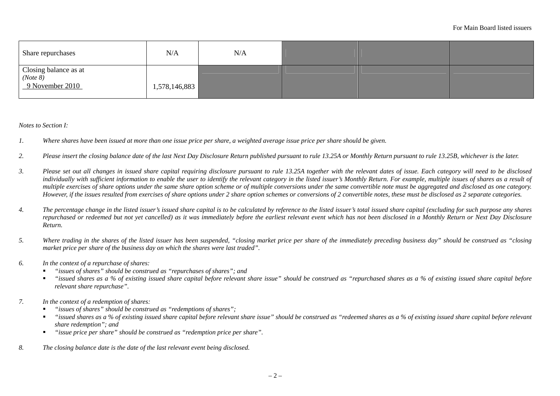| Share repurchases                                          | N/A           | N/A |  |  |
|------------------------------------------------------------|---------------|-----|--|--|
| Closing balance as at ( <i>Note 8</i> )<br>9 November 2010 | 1,578,146,883 |     |  |  |

*Notes to Section I:* 

- *1. Where shares have been issued at more than one issue price per share, a weighted average issue price per share should be given.*
- *2. Please insert the closing balance date of the last Next Day Disclosure Return published pursuant to rule 13.25A or Monthly Return pursuant to rule 13.25B, whichever is the later.*
- *3. Please set out all changes in issued share capital requiring disclosure pursuant to rule 13.25A together with the relevant dates of issue. Each category will need to be disclosed*  individually with sufficient information to enable the user to identify the relevant category in the listed issuer's Monthly Return. For example, multiple issues of shares as a result of *multiple exercises of share options under the same share option scheme or of multiple conversions under the same convertible note must be aggregated and disclosed as one category. However, if the issues resulted from exercises of share options under 2 share option schemes or conversions of 2 convertible notes, these must be disclosed as 2 separate categories.*
- *4. The percentage change in the listed issuer's issued share capital is to be calculated by reference to the listed issuer's total issued share capital (excluding for such purpose any shares repurchased or redeemed but not yet cancelled) as it was immediately before the earliest relevant event which has not been disclosed in a Monthly Return or Next Day Disclosure Return.*
- *5. Where trading in the shares of the listed issuer has been suspended, "closing market price per share of the immediately preceding business day" should be construed as "closing market price per share of the business day on which the shares were last traded".*
- *6. In the context of a repurchase of shares:* 
	- П *"issues of shares" should be construed as "repurchases of shares"; and*
	- $\blacksquare$  *"issued shares as a % of existing issued share capital before relevant share issue" should be construed as "repurchased shares as a % of existing issued share capital before relevant share repurchase".*
- *7. In the context of a redemption of shares:* 
	- П *"issues of shares" should be construed as "redemptions of shares";*
	- П *"issued shares as a % of existing issued share capital before relevant share issue" should be construed as "redeemed shares as a % of existing issued share capital before relevant share redemption"; and*
	- $\blacksquare$ *"issue price per share" should be construed as "redemption price per share".*
- *8. The closing balance date is the date of the last relevant event being disclosed.*